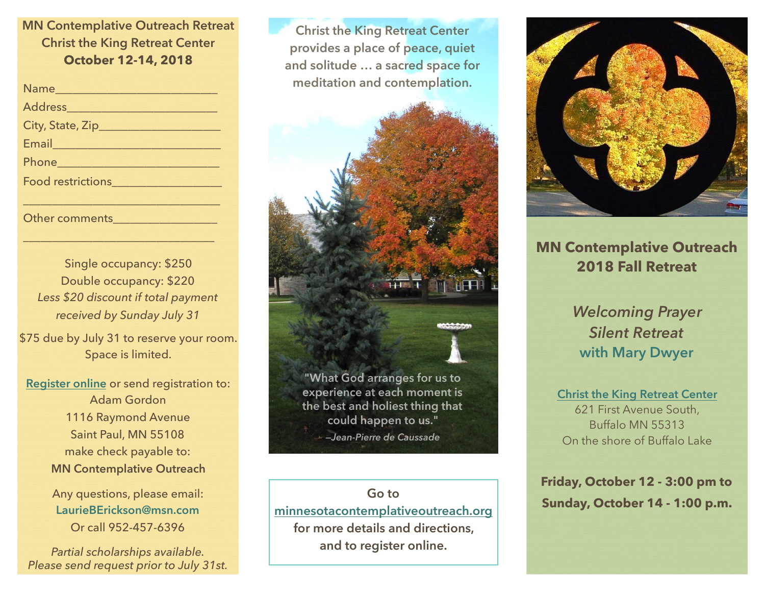## **MN Contemplative Outreach Retreat Christ the King Retreat Center October 12-14, 2018**

| Address                                                                                                                                                                                                                          |
|----------------------------------------------------------------------------------------------------------------------------------------------------------------------------------------------------------------------------------|
|                                                                                                                                                                                                                                  |
| Email 2008                                                                                                                                                                                                                       |
| Phone <u>____________________________</u>                                                                                                                                                                                        |
| Food restrictions<br>The Secretary Annual Secretary Annual Secretary Annual Secretary Annual Secretary Annual Secretary Annual Secretary Annual Secretary Annual Secretary Annual Secretary Annual Secretary Annual Secretary An |
|                                                                                                                                                                                                                                  |
|                                                                                                                                                                                                                                  |

Single occupancy: \$250 Double occupancy: \$220 *Less \$20 discount if total payment received by Sunday July 31*

 $\frac{1}{2}$  ,  $\frac{1}{2}$  ,  $\frac{1}{2}$  ,  $\frac{1}{2}$  ,  $\frac{1}{2}$  ,  $\frac{1}{2}$  ,  $\frac{1}{2}$  ,  $\frac{1}{2}$  ,  $\frac{1}{2}$  ,  $\frac{1}{2}$  ,  $\frac{1}{2}$  ,  $\frac{1}{2}$  ,  $\frac{1}{2}$  ,  $\frac{1}{2}$  ,  $\frac{1}{2}$  ,  $\frac{1}{2}$  ,  $\frac{1}{2}$  ,  $\frac{1}{2}$  ,  $\frac{1$ 

Other comments

\$75 due by July 31 to reserve your room. Space is limited.

**[Register online](http://www.minnesotacontemplativeoutreach.org/fall-retreat-2016.html)** or send registration to: Adam Gordon 1116 Raymond Avenue Saint Paul, MN 55108 make check payable to: **MN Contemplative Outreach** 

> Any questions, please email: **LaurieBErickson@msn.com** Or call 952-457-6396

*Partial scholarships available. Please send request prior to July 31st.*

**Christ the King Retreat Center provides a place of peace, quiet and solitude … a sacred space for meditation and contemplation.**



*—Jean-Pierre de Caussade*

**Go to [minnesotacontemplativeoutreach.org](http://www.minnesotacontemplativeoutreach.org) for more details and directions, and to register online.**



# **MN Contemplative Outreach 2018 Fall Retreat**

*Welcoming Prayer Silent Retreat*  **with Mary Dwyer**

**[Christ the King Retreat Center](http://kingshouse.com/)** 621 First Avenue South, Buffalo MN 55313 On the shore of Buffalo Lake

**Friday, October 12 - 3:00 pm to Sunday, October 14 - 1:00 p.m.**